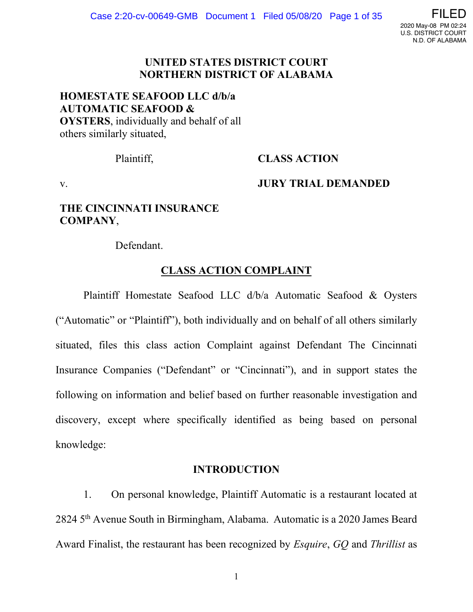

## **UNITED STATES DISTRICT COURT NORTHERN DISTRICT OF ALABAMA**

# **HOMESTATE SEAFOOD LLC d/b/a AUTOMATIC SEAFOOD & OYSTERS**, individually and behalf of all others similarly situated,

# Plaintiff, **CLASS ACTION**

# v. **JURY TRIAL DEMANDED**

# **THE CINCINNATI INSURANCE COMPANY**,

Defendant.

# **CLASS ACTION COMPLAINT**

Plaintiff Homestate Seafood LLC d/b/a Automatic Seafood & Oysters ("Automatic" or "Plaintiff"), both individually and on behalf of all others similarly situated, files this class action Complaint against Defendant The Cincinnati Insurance Companies ("Defendant" or "Cincinnati"), and in support states the following on information and belief based on further reasonable investigation and discovery, except where specifically identified as being based on personal knowledge:

# **INTRODUCTION**

1. On personal knowledge, Plaintiff Automatic is a restaurant located at 2824 5th Avenue South in Birmingham, Alabama. Automatic is a 2020 James Beard Award Finalist, the restaurant has been recognized by *Esquire*, *GQ* and *Thrillist* as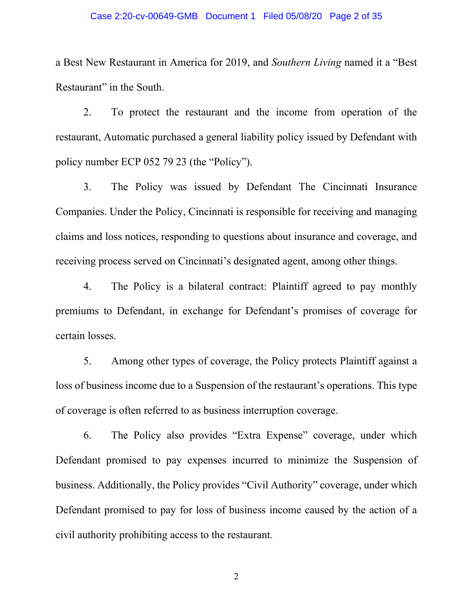### Case 2:20-cv-00649-GMB Document 1 Filed 05/08/20 Page 2 of 35

a Best New Restaurant in America for 2019, and *Southern Living* named it a "Best Restaurant" in the South.

2. To protect the restaurant and the income from operation of the restaurant, Automatic purchased a general liability policy issued by Defendant with policy number ECP 052 79 23 (the "Policy").

3. The Policy was issued by Defendant The Cincinnati Insurance Companies. Under the Policy, Cincinnati is responsible for receiving and managing claims and loss notices, responding to questions about insurance and coverage, and receiving process served on Cincinnati's designated agent, among other things.

4. The Policy is a bilateral contract: Plaintiff agreed to pay monthly premiums to Defendant, in exchange for Defendant's promises of coverage for certain losses.

5. Among other types of coverage, the Policy protects Plaintiff against a loss of business income due to a Suspension of the restaurant's operations. This type of coverage is often referred to as business interruption coverage.

6. The Policy also provides "Extra Expense" coverage, under which Defendant promised to pay expenses incurred to minimize the Suspension of business. Additionally, the Policy provides "Civil Authority" coverage, under which Defendant promised to pay for loss of business income caused by the action of a civil authority prohibiting access to the restaurant.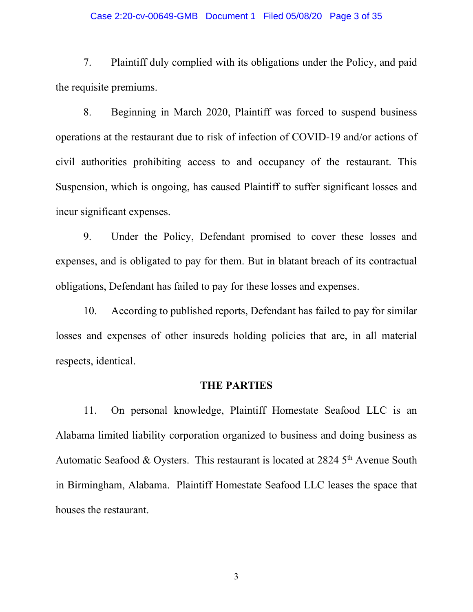#### Case 2:20-cv-00649-GMB Document 1 Filed 05/08/20 Page 3 of 35

7. Plaintiff duly complied with its obligations under the Policy, and paid the requisite premiums.

8. Beginning in March 2020, Plaintiff was forced to suspend business operations at the restaurant due to risk of infection of COVID-19 and/or actions of civil authorities prohibiting access to and occupancy of the restaurant. This Suspension, which is ongoing, has caused Plaintiff to suffer significant losses and incur significant expenses.

9. Under the Policy, Defendant promised to cover these losses and expenses, and is obligated to pay for them. But in blatant breach of its contractual obligations, Defendant has failed to pay for these losses and expenses.

10. According to published reports, Defendant has failed to pay for similar losses and expenses of other insureds holding policies that are, in all material respects, identical.

## **THE PARTIES**

11. On personal knowledge, Plaintiff Homestate Seafood LLC is an Alabama limited liability corporation organized to business and doing business as Automatic Seafood  $&$  Oysters. This restaurant is located at 2824  $5<sup>th</sup>$  Avenue South in Birmingham, Alabama. Plaintiff Homestate Seafood LLC leases the space that houses the restaurant.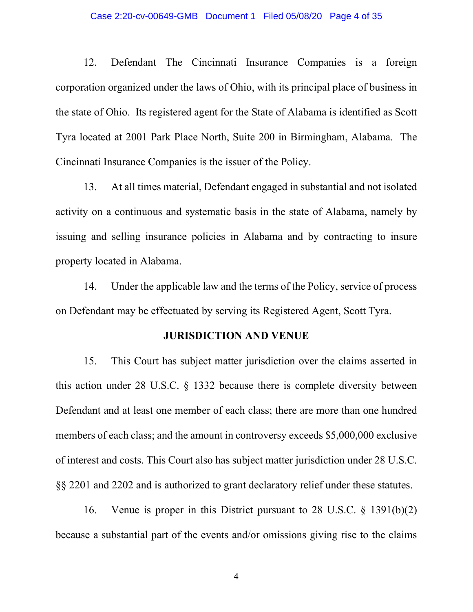#### Case 2:20-cv-00649-GMB Document 1 Filed 05/08/20 Page 4 of 35

12. Defendant The Cincinnati Insurance Companies is a foreign corporation organized under the laws of Ohio, with its principal place of business in the state of Ohio. Its registered agent for the State of Alabama is identified as Scott Tyra located at 2001 Park Place North, Suite 200 in Birmingham, Alabama. The Cincinnati Insurance Companies is the issuer of the Policy.

13. At all times material, Defendant engaged in substantial and not isolated activity on a continuous and systematic basis in the state of Alabama, namely by issuing and selling insurance policies in Alabama and by contracting to insure property located in Alabama.

14. Under the applicable law and the terms of the Policy, service of process on Defendant may be effectuated by serving its Registered Agent, Scott Tyra.

## **JURISDICTION AND VENUE**

15. This Court has subject matter jurisdiction over the claims asserted in this action under 28 U.S.C. § 1332 because there is complete diversity between Defendant and at least one member of each class; there are more than one hundred members of each class; and the amount in controversy exceeds \$5,000,000 exclusive of interest and costs. This Court also has subject matter jurisdiction under 28 U.S.C. §§ 2201 and 2202 and is authorized to grant declaratory relief under these statutes.

16. Venue is proper in this District pursuant to 28 U.S.C. § 1391(b)(2) because a substantial part of the events and/or omissions giving rise to the claims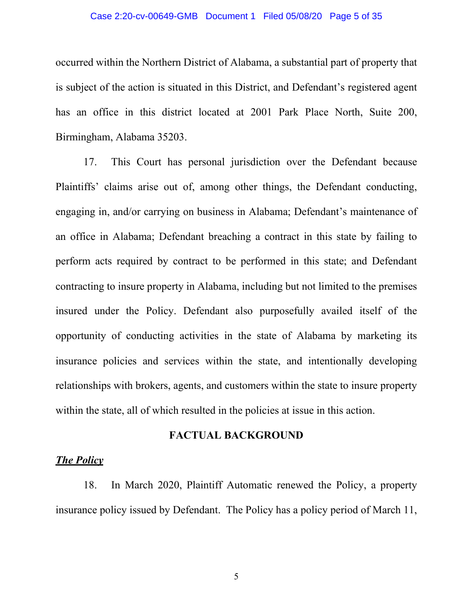#### Case 2:20-cv-00649-GMB Document 1 Filed 05/08/20 Page 5 of 35

occurred within the Northern District of Alabama, a substantial part of property that is subject of the action is situated in this District, and Defendant's registered agent has an office in this district located at 2001 Park Place North, Suite 200, Birmingham, Alabama 35203.

17. This Court has personal jurisdiction over the Defendant because Plaintiffs' claims arise out of, among other things, the Defendant conducting, engaging in, and/or carrying on business in Alabama; Defendant's maintenance of an office in Alabama; Defendant breaching a contract in this state by failing to perform acts required by contract to be performed in this state; and Defendant contracting to insure property in Alabama, including but not limited to the premises insured under the Policy. Defendant also purposefully availed itself of the opportunity of conducting activities in the state of Alabama by marketing its insurance policies and services within the state, and intentionally developing relationships with brokers, agents, and customers within the state to insure property within the state, all of which resulted in the policies at issue in this action.

## **FACTUAL BACKGROUND**

# *The Policy*

18. In March 2020, Plaintiff Automatic renewed the Policy, a property insurance policy issued by Defendant. The Policy has a policy period of March 11,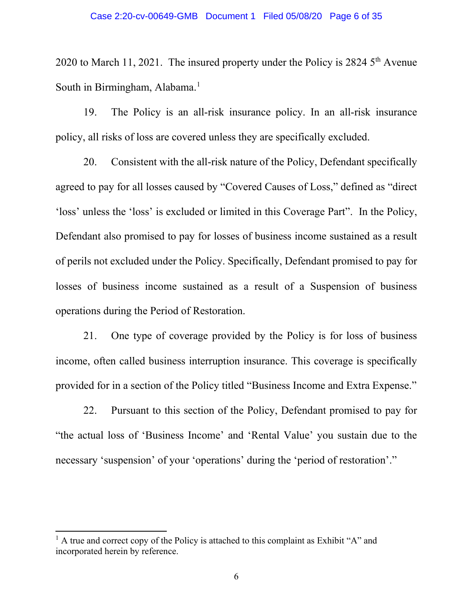2020 to March 11, 2021. The insured property under the Policy is  $2824.5<sup>th</sup>$  Avenue South in Birmingham, Alabama. [1](#page-5-0)

19. The Policy is an all-risk insurance policy. In an all-risk insurance policy, all risks of loss are covered unless they are specifically excluded.

20. Consistent with the all-risk nature of the Policy, Defendant specifically agreed to pay for all losses caused by "Covered Causes of Loss," defined as "direct 'loss' unless the 'loss' is excluded or limited in this Coverage Part". In the Policy, Defendant also promised to pay for losses of business income sustained as a result of perils not excluded under the Policy. Specifically, Defendant promised to pay for losses of business income sustained as a result of a Suspension of business operations during the Period of Restoration.

21. One type of coverage provided by the Policy is for loss of business income, often called business interruption insurance. This coverage is specifically provided for in a section of the Policy titled "Business Income and Extra Expense."

22. Pursuant to this section of the Policy, Defendant promised to pay for "the actual loss of 'Business Income' and 'Rental Value' you sustain due to the necessary 'suspension' of your 'operations' during the 'period of restoration'."

<span id="page-5-0"></span> $<sup>1</sup>$  A true and correct copy of the Policy is attached to this complaint as Exhibit "A" and</sup> incorporated herein by reference.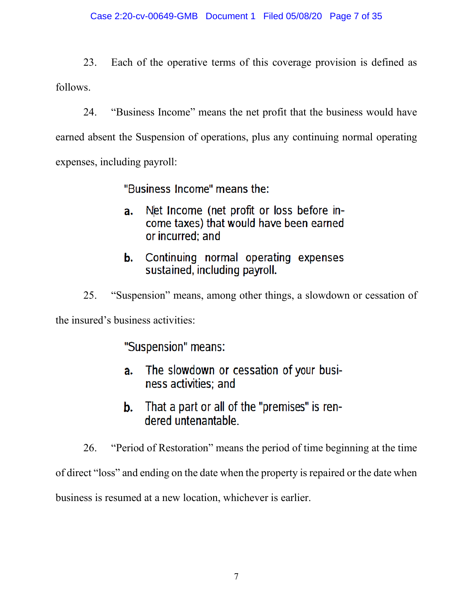23. Each of the operative terms of this coverage provision is defined as follows.

24. "Business Income" means the net profit that the business would have earned absent the Suspension of operations, plus any continuing normal operating expenses, including payroll:

"Business Income" means the:

- Net Income (net profit or loss before ina. come taxes) that would have been earned or incurred: and
- Continuing normal operating expenses b. sustained, including payroll.
- 25. "Suspension" means, among other things, a slowdown or cessation of

the insured's business activities:

"Suspension" means:

- The slowdown or cessation of your busia. ness activities: and
- That a part or all of the "premises" is renb. dered untenantable.

26. "Period of Restoration" means the period of time beginning at the time of direct "loss" and ending on the date when the property is repaired or the date when business is resumed at a new location, whichever is earlier.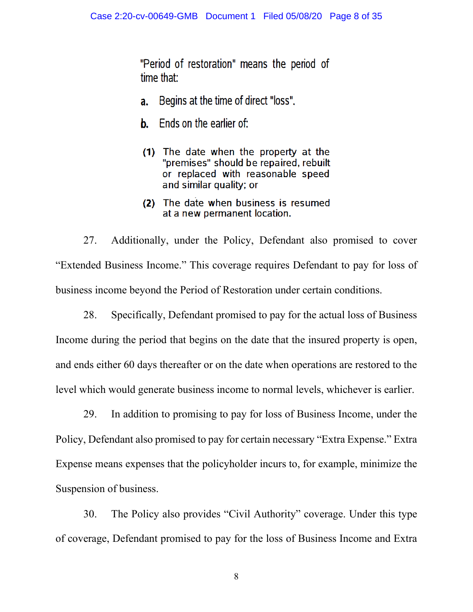"Period of restoration" means the period of time that:

- Begins at the time of direct "loss". a.
- Ends on the earlier of: b.
- (1) The date when the property at the "premises" should be repaired, rebuilt or replaced with reasonable speed and similar quality; or
- (2) The date when business is resumed at a new permanent location.

27. Additionally, under the Policy, Defendant also promised to cover "Extended Business Income." This coverage requires Defendant to pay for loss of business income beyond the Period of Restoration under certain conditions.

28. Specifically, Defendant promised to pay for the actual loss of Business Income during the period that begins on the date that the insured property is open, and ends either 60 days thereafter or on the date when operations are restored to the level which would generate business income to normal levels, whichever is earlier.

29. In addition to promising to pay for loss of Business Income, under the Policy, Defendant also promised to pay for certain necessary "Extra Expense." Extra Expense means expenses that the policyholder incurs to, for example, minimize the Suspension of business.

30. The Policy also provides "Civil Authority" coverage. Under this type of coverage, Defendant promised to pay for the loss of Business Income and Extra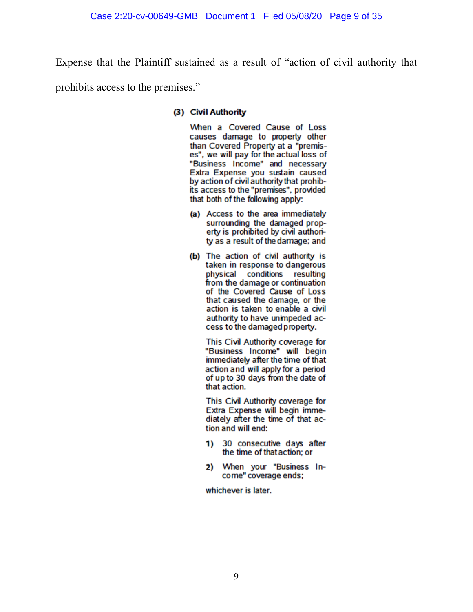Expense that the Plaintiff sustained as a result of "action of civil authority that

prohibits access to the premises."

### (3) Civil Authority

When a Covered Cause of Loss causes damage to property other than Covered Property at a "premises", we will pay for the actual loss of "Business Income" and necessary Extra Expense you sustain caused by action of civil authority that prohibits access to the "premises", provided that both of the following apply:

- (a) Access to the area immediately surrounding the damaged property is prohibited by civil authority as a result of the damage; and
- (b) The action of civil authority is taken in response to dangerous physical conditions resulting from the damage or continuation of the Covered Cause of Loss that caused the damage, or the action is taken to enable a civil authority to have unimpeded access to the damaged property.

This Civil Authority coverage for "Business Income" will begin immediately after the time of that action and will apply for a period of up to 30 days from the date of that action.

This Civil Authority coverage for Extra Expense will begin immediately after the time of that action and will end:

- 1) 30 consecutive days after the time of that action: or
- 2) When your "Business Income" coverage ends:

whichever is later.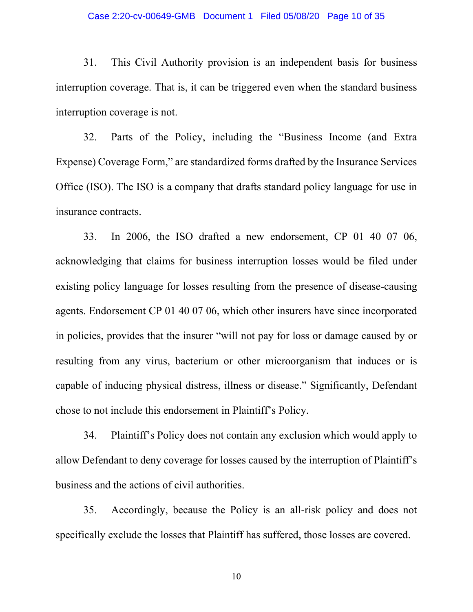#### Case 2:20-cv-00649-GMB Document 1 Filed 05/08/20 Page 10 of 35

31. This Civil Authority provision is an independent basis for business interruption coverage. That is, it can be triggered even when the standard business interruption coverage is not.

32. Parts of the Policy, including the "Business Income (and Extra Expense) Coverage Form," are standardized forms drafted by the Insurance Services Office (ISO). The ISO is a company that drafts standard policy language for use in insurance contracts.

33. In 2006, the ISO drafted a new endorsement, CP 01 40 07 06, acknowledging that claims for business interruption losses would be filed under existing policy language for losses resulting from the presence of disease-causing agents. Endorsement CP 01 40 07 06, which other insurers have since incorporated in policies, provides that the insurer "will not pay for loss or damage caused by or resulting from any virus, bacterium or other microorganism that induces or is capable of inducing physical distress, illness or disease." Significantly, Defendant chose to not include this endorsement in Plaintiff's Policy.

34. Plaintiff's Policy does not contain any exclusion which would apply to allow Defendant to deny coverage for losses caused by the interruption of Plaintiff's business and the actions of civil authorities.

35. Accordingly, because the Policy is an all-risk policy and does not specifically exclude the losses that Plaintiff has suffered, those losses are covered.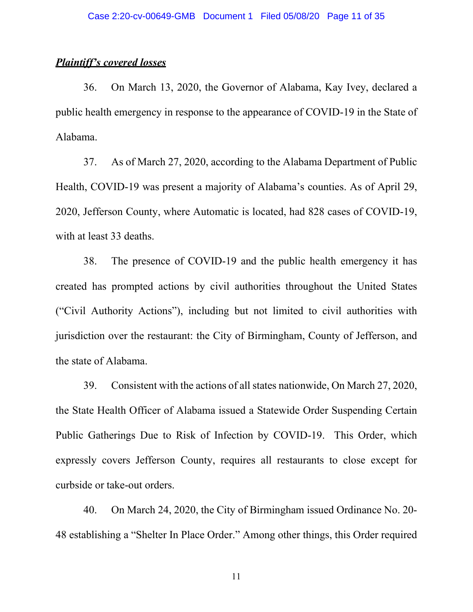# *Plaintiff's covered losses*

36. On March 13, 2020, the Governor of Alabama, Kay Ivey, declared a public health emergency in response to the appearance of COVID-19 in the State of Alabama.

37. As of March 27, 2020, according to the Alabama Department of Public Health, COVID-19 was present a majority of Alabama's counties. As of April 29, 2020, Jefferson County, where Automatic is located, had 828 cases of COVID-19, with at least 33 deaths.

38. The presence of COVID-19 and the public health emergency it has created has prompted actions by civil authorities throughout the United States ("Civil Authority Actions"), including but not limited to civil authorities with jurisdiction over the restaurant: the City of Birmingham, County of Jefferson, and the state of Alabama.

39. Consistent with the actions of all states nationwide, On March 27, 2020, the State Health Officer of Alabama issued a Statewide Order Suspending Certain Public Gatherings Due to Risk of Infection by COVID-19. This Order, which expressly covers Jefferson County, requires all restaurants to close except for curbside or take-out orders.

40. On March 24, 2020, the City of Birmingham issued Ordinance No. 20- 48 establishing a "Shelter In Place Order." Among other things, this Order required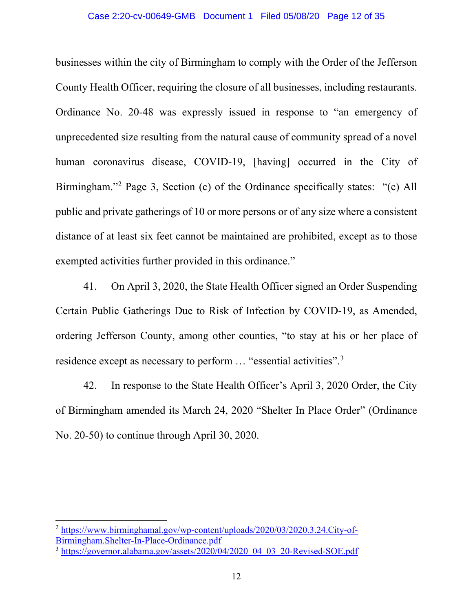### Case 2:20-cv-00649-GMB Document 1 Filed 05/08/20 Page 12 of 35

businesses within the city of Birmingham to comply with the Order of the Jefferson County Health Officer, requiring the closure of all businesses, including restaurants. Ordinance No. 20-48 was expressly issued in response to "an emergency of unprecedented size resulting from the natural cause of community spread of a novel human coronavirus disease, COVID-19, [having] occurred in the City of Birmingham."<sup>[2](#page-11-0)</sup> Page 3, Section (c) of the Ordinance specifically states: "(c) All public and private gatherings of 10 or more persons or of any size where a consistent distance of at least six feet cannot be maintained are prohibited, except as to those exempted activities further provided in this ordinance."

41. On April 3, 2020, the State Health Officer signed an Order Suspending Certain Public Gatherings Due to Risk of Infection by COVID-19, as Amended, ordering Jefferson County, among other counties, "to stay at his or her place of residence except as necessary to perform ... "essential activities".<sup>[3](#page-11-1)</sup>

42. In response to the State Health Officer's April 3, 2020 Order, the City of Birmingham amended its March 24, 2020 "Shelter In Place Order" (Ordinance No. 20-50) to continue through April 30, 2020.

<span id="page-11-0"></span><sup>2</sup> [https://www.birminghamal.gov/wp-content/uploads/2020/03/2020.3.24.City-of-](https://www.birminghamal.gov/wp-content/uploads/2020/03/2020.3.24.City-of-Birmingham.Shelter-In-Place-Ordinance.pdf)[Birmingham.Shelter-In-Place-Ordinance.pdf](https://www.birminghamal.gov/wp-content/uploads/2020/03/2020.3.24.City-of-Birmingham.Shelter-In-Place-Ordinance.pdf)

<span id="page-11-1"></span> $3 \text{ https://governor.alabama.gov/assets/2020/04/2020}$  04 03 20-Revised-SOE.pdf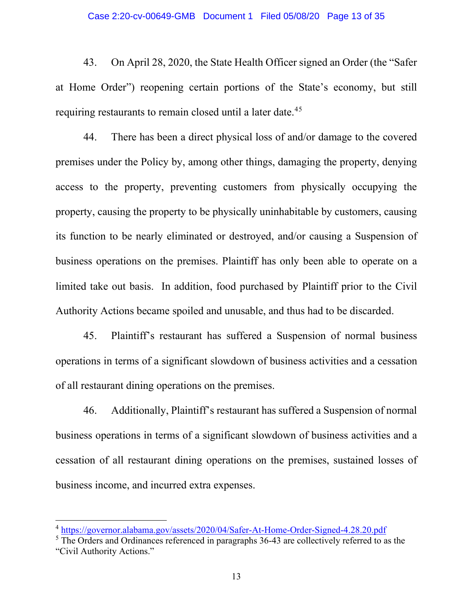43. On April 28, 2020, the State Health Officer signed an Order (the "Safer at Home Order") reopening certain portions of the State's economy, but still requiring restaurants to remain closed until a later date.<sup>[4](#page-12-0)[5](#page-12-1)</sup>

44. There has been a direct physical loss of and/or damage to the covered premises under the Policy by, among other things, damaging the property, denying access to the property, preventing customers from physically occupying the property, causing the property to be physically uninhabitable by customers, causing its function to be nearly eliminated or destroyed, and/or causing a Suspension of business operations on the premises. Plaintiff has only been able to operate on a limited take out basis. In addition, food purchased by Plaintiff prior to the Civil Authority Actions became spoiled and unusable, and thus had to be discarded.

45. Plaintiff's restaurant has suffered a Suspension of normal business operations in terms of a significant slowdown of business activities and a cessation of all restaurant dining operations on the premises.

46. Additionally, Plaintiff's restaurant has suffered a Suspension of normal business operations in terms of a significant slowdown of business activities and a cessation of all restaurant dining operations on the premises, sustained losses of business income, and incurred extra expenses.

<span id="page-12-0"></span><sup>4</sup> <https://governor.alabama.gov/assets/2020/04/Safer-At-Home-Order-Signed-4.28.20.pdf>

<span id="page-12-1"></span> $\frac{5}{10}$  The Orders and Ordinances referenced in paragraphs 36-43 are collectively referred to as the "Civil Authority Actions."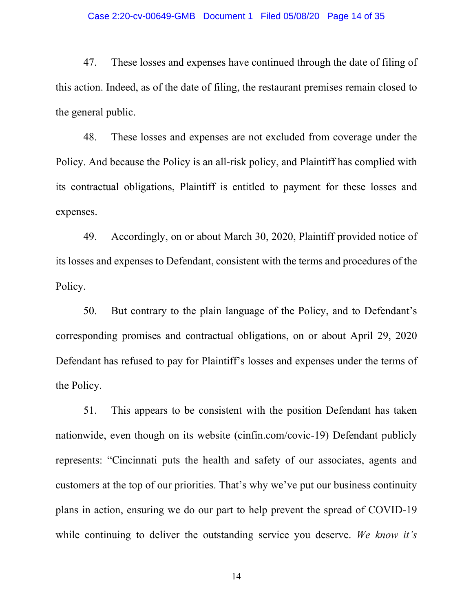#### Case 2:20-cv-00649-GMB Document 1 Filed 05/08/20 Page 14 of 35

47. These losses and expenses have continued through the date of filing of this action. Indeed, as of the date of filing, the restaurant premises remain closed to the general public.

48. These losses and expenses are not excluded from coverage under the Policy. And because the Policy is an all-risk policy, and Plaintiff has complied with its contractual obligations, Plaintiff is entitled to payment for these losses and expenses.

49. Accordingly, on or about March 30, 2020, Plaintiff provided notice of its losses and expenses to Defendant, consistent with the terms and procedures of the Policy.

50. But contrary to the plain language of the Policy, and to Defendant's corresponding promises and contractual obligations, on or about April 29, 2020 Defendant has refused to pay for Plaintiff's losses and expenses under the terms of the Policy.

51. This appears to be consistent with the position Defendant has taken nationwide, even though on its website (cinfin.com/covic-19) Defendant publicly represents: "Cincinnati puts the health and safety of our associates, agents and customers at the top of our priorities. That's why we've put our business continuity plans in action, ensuring we do our part to help prevent the spread of COVID-19 while continuing to deliver the outstanding service you deserve. *We know it's*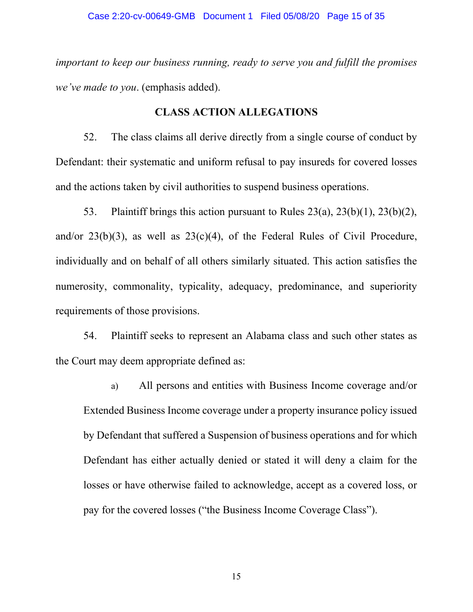*important to keep our business running, ready to serve you and fulfill the promises we've made to you*. (emphasis added).

# **CLASS ACTION ALLEGATIONS**

52. The class claims all derive directly from a single course of conduct by Defendant: their systematic and uniform refusal to pay insureds for covered losses and the actions taken by civil authorities to suspend business operations.

53. Plaintiff brings this action pursuant to Rules 23(a), 23(b)(1), 23(b)(2), and/or  $23(b)(3)$ , as well as  $23(c)(4)$ , of the Federal Rules of Civil Procedure, individually and on behalf of all others similarly situated. This action satisfies the numerosity, commonality, typicality, adequacy, predominance, and superiority requirements of those provisions.

54. Plaintiff seeks to represent an Alabama class and such other states as the Court may deem appropriate defined as:

a) All persons and entities with Business Income coverage and/or Extended Business Income coverage under a property insurance policy issued by Defendant that suffered a Suspension of business operations and for which Defendant has either actually denied or stated it will deny a claim for the losses or have otherwise failed to acknowledge, accept as a covered loss, or pay for the covered losses ("the Business Income Coverage Class").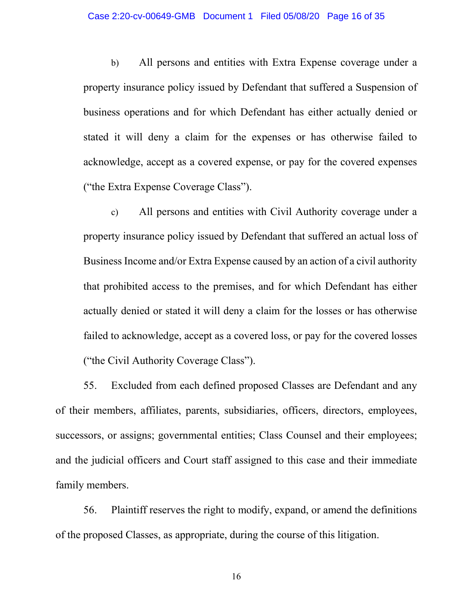b) All persons and entities with Extra Expense coverage under a property insurance policy issued by Defendant that suffered a Suspension of business operations and for which Defendant has either actually denied or stated it will deny a claim for the expenses or has otherwise failed to acknowledge, accept as a covered expense, or pay for the covered expenses ("the Extra Expense Coverage Class").

c) All persons and entities with Civil Authority coverage under a property insurance policy issued by Defendant that suffered an actual loss of Business Income and/or Extra Expense caused by an action of a civil authority that prohibited access to the premises, and for which Defendant has either actually denied or stated it will deny a claim for the losses or has otherwise failed to acknowledge, accept as a covered loss, or pay for the covered losses ("the Civil Authority Coverage Class").

55. Excluded from each defined proposed Classes are Defendant and any of their members, affiliates, parents, subsidiaries, officers, directors, employees, successors, or assigns; governmental entities; Class Counsel and their employees; and the judicial officers and Court staff assigned to this case and their immediate family members.

56. Plaintiff reserves the right to modify, expand, or amend the definitions of the proposed Classes, as appropriate, during the course of this litigation.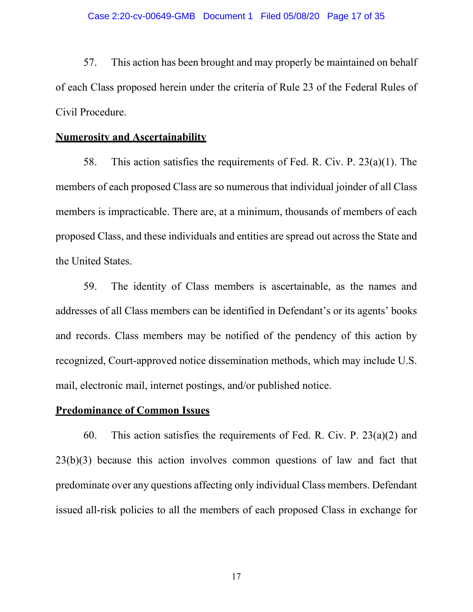57. This action has been brought and may properly be maintained on behalf of each Class proposed herein under the criteria of Rule 23 of the Federal Rules of Civil Procedure.

# **Numerosity and Ascertainability**

58. This action satisfies the requirements of Fed. R. Civ. P. 23(a)(1). The members of each proposed Class are so numerous that individual joinder of all Class members is impracticable. There are, at a minimum, thousands of members of each proposed Class, and these individuals and entities are spread out across the State and the United States.

59. The identity of Class members is ascertainable, as the names and addresses of all Class members can be identified in Defendant's or its agents' books and records. Class members may be notified of the pendency of this action by recognized, Court-approved notice dissemination methods, which may include U.S. mail, electronic mail, internet postings, and/or published notice.

## **Predominance of Common Issues**

60. This action satisfies the requirements of Fed. R. Civ. P.  $23(a)(2)$  and 23(b)(3) because this action involves common questions of law and fact that predominate over any questions affecting only individual Class members. Defendant issued all-risk policies to all the members of each proposed Class in exchange for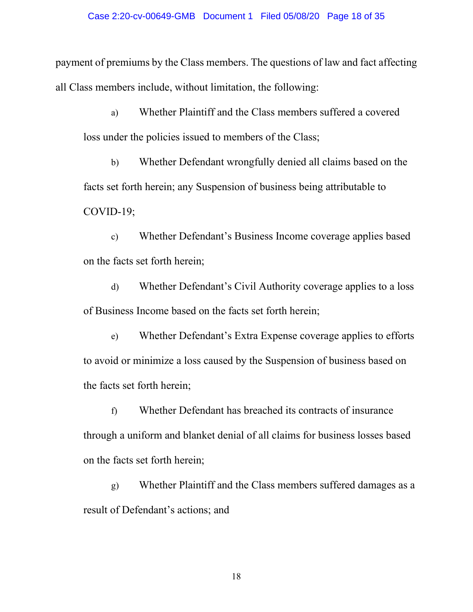payment of premiums by the Class members. The questions of law and fact affecting all Class members include, without limitation, the following:

a) Whether Plaintiff and the Class members suffered a covered loss under the policies issued to members of the Class;

b) Whether Defendant wrongfully denied all claims based on the facts set forth herein; any Suspension of business being attributable to COVID-19;

c) Whether Defendant's Business Income coverage applies based on the facts set forth herein;

d) Whether Defendant's Civil Authority coverage applies to a loss of Business Income based on the facts set forth herein;

e) Whether Defendant's Extra Expense coverage applies to efforts to avoid or minimize a loss caused by the Suspension of business based on the facts set forth herein;

f) Whether Defendant has breached its contracts of insurance through a uniform and blanket denial of all claims for business losses based on the facts set forth herein;

g) Whether Plaintiff and the Class members suffered damages as a result of Defendant's actions; and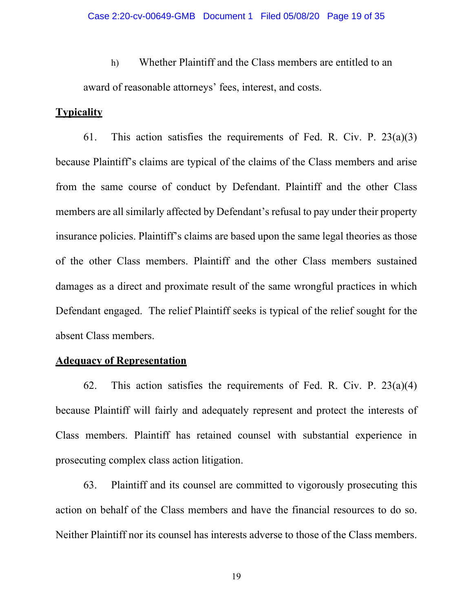h) Whether Plaintiff and the Class members are entitled to an award of reasonable attorneys' fees, interest, and costs.

# **Typicality**

61. This action satisfies the requirements of Fed. R. Civ. P. 23(a)(3) because Plaintiff's claims are typical of the claims of the Class members and arise from the same course of conduct by Defendant. Plaintiff and the other Class members are all similarly affected by Defendant's refusal to pay under their property insurance policies. Plaintiff's claims are based upon the same legal theories as those of the other Class members. Plaintiff and the other Class members sustained damages as a direct and proximate result of the same wrongful practices in which Defendant engaged. The relief Plaintiff seeks is typical of the relief sought for the absent Class members.

## **Adequacy of Representation**

62. This action satisfies the requirements of Fed. R. Civ. P.  $23(a)(4)$ because Plaintiff will fairly and adequately represent and protect the interests of Class members. Plaintiff has retained counsel with substantial experience in prosecuting complex class action litigation.

63. Plaintiff and its counsel are committed to vigorously prosecuting this action on behalf of the Class members and have the financial resources to do so. Neither Plaintiff nor its counsel has interests adverse to those of the Class members.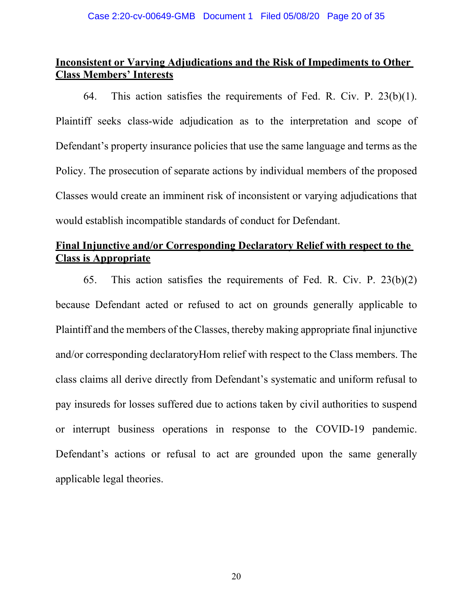# **Inconsistent or Varying Adjudications and the Risk of Impediments to Other Class Members' Interests**

64. This action satisfies the requirements of Fed. R. Civ. P. 23(b)(1). Plaintiff seeks class-wide adjudication as to the interpretation and scope of Defendant's property insurance policies that use the same language and terms as the Policy. The prosecution of separate actions by individual members of the proposed Classes would create an imminent risk of inconsistent or varying adjudications that would establish incompatible standards of conduct for Defendant.

# **Final Injunctive and/or Corresponding Declaratory Relief with respect to the Class is Appropriate**

65. This action satisfies the requirements of Fed. R. Civ. P. 23(b)(2) because Defendant acted or refused to act on grounds generally applicable to Plaintiff and the members of the Classes, thereby making appropriate final injunctive and/or corresponding declaratoryHom relief with respect to the Class members. The class claims all derive directly from Defendant's systematic and uniform refusal to pay insureds for losses suffered due to actions taken by civil authorities to suspend or interrupt business operations in response to the COVID-19 pandemic. Defendant's actions or refusal to act are grounded upon the same generally applicable legal theories.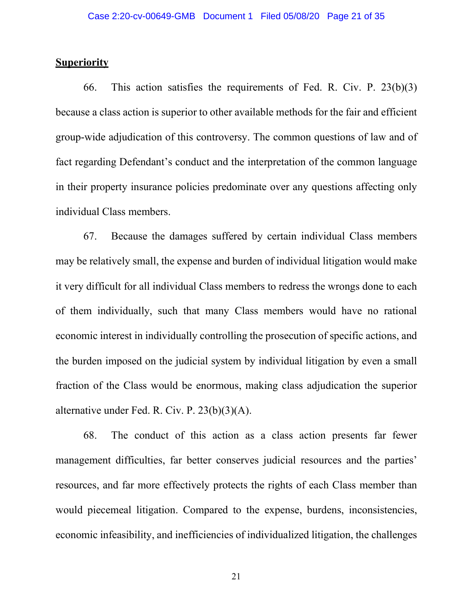### **Superiority**

66. This action satisfies the requirements of Fed. R. Civ. P. 23(b)(3) because a class action is superior to other available methods for the fair and efficient group-wide adjudication of this controversy. The common questions of law and of fact regarding Defendant's conduct and the interpretation of the common language in their property insurance policies predominate over any questions affecting only individual Class members.

67. Because the damages suffered by certain individual Class members may be relatively small, the expense and burden of individual litigation would make it very difficult for all individual Class members to redress the wrongs done to each of them individually, such that many Class members would have no rational economic interest in individually controlling the prosecution of specific actions, and the burden imposed on the judicial system by individual litigation by even a small fraction of the Class would be enormous, making class adjudication the superior alternative under Fed. R. Civ. P. 23(b)(3)(A).

68. The conduct of this action as a class action presents far fewer management difficulties, far better conserves judicial resources and the parties' resources, and far more effectively protects the rights of each Class member than would piecemeal litigation. Compared to the expense, burdens, inconsistencies, economic infeasibility, and inefficiencies of individualized litigation, the challenges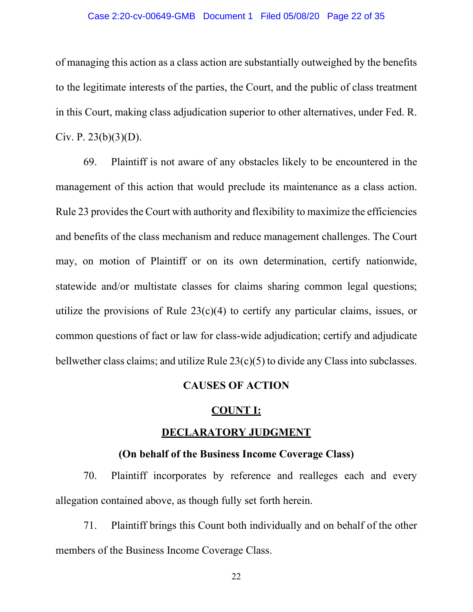### Case 2:20-cv-00649-GMB Document 1 Filed 05/08/20 Page 22 of 35

of managing this action as a class action are substantially outweighed by the benefits to the legitimate interests of the parties, the Court, and the public of class treatment in this Court, making class adjudication superior to other alternatives, under Fed. R. Civ. P.  $23(b)(3)(D)$ .

69. Plaintiff is not aware of any obstacles likely to be encountered in the management of this action that would preclude its maintenance as a class action. Rule 23 provides the Court with authority and flexibility to maximize the efficiencies and benefits of the class mechanism and reduce management challenges. The Court may, on motion of Plaintiff or on its own determination, certify nationwide, statewide and/or multistate classes for claims sharing common legal questions; utilize the provisions of Rule  $23(c)(4)$  to certify any particular claims, issues, or common questions of fact or law for class-wide adjudication; certify and adjudicate bellwether class claims; and utilize Rule 23(c)(5) to divide any Class into subclasses.

### **CAUSES OF ACTION**

### **COUNT I:**

# **DECLARATORY JUDGMENT**

### **(On behalf of the Business Income Coverage Class)**

70. Plaintiff incorporates by reference and realleges each and every allegation contained above, as though fully set forth herein.

71. Plaintiff brings this Count both individually and on behalf of the other members of the Business Income Coverage Class.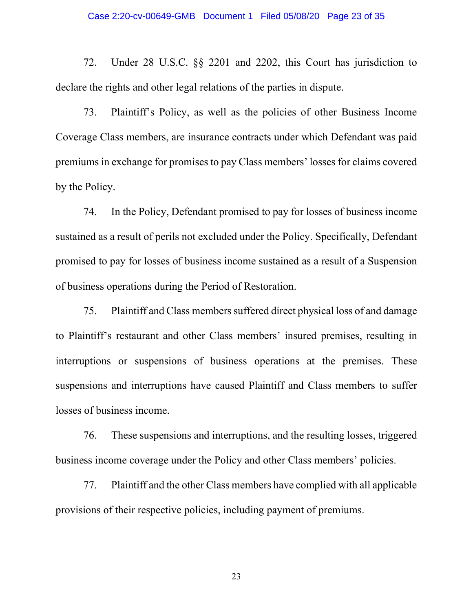72. Under 28 U.S.C. §§ 2201 and 2202, this Court has jurisdiction to declare the rights and other legal relations of the parties in dispute.

73. Plaintiff's Policy, as well as the policies of other Business Income Coverage Class members, are insurance contracts under which Defendant was paid premiums in exchange for promises to pay Class members' losses for claims covered by the Policy.

74. In the Policy, Defendant promised to pay for losses of business income sustained as a result of perils not excluded under the Policy. Specifically, Defendant promised to pay for losses of business income sustained as a result of a Suspension of business operations during the Period of Restoration.

75. Plaintiff and Class members suffered direct physical loss of and damage to Plaintiff's restaurant and other Class members' insured premises, resulting in interruptions or suspensions of business operations at the premises. These suspensions and interruptions have caused Plaintiff and Class members to suffer losses of business income.

76. These suspensions and interruptions, and the resulting losses, triggered business income coverage under the Policy and other Class members' policies.

77. Plaintiff and the other Class members have complied with all applicable provisions of their respective policies, including payment of premiums.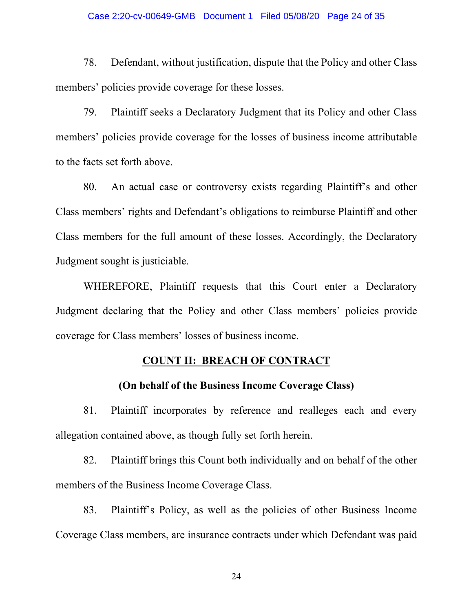### Case 2:20-cv-00649-GMB Document 1 Filed 05/08/20 Page 24 of 35

78. Defendant, without justification, dispute that the Policy and other Class members' policies provide coverage for these losses.

79. Plaintiff seeks a Declaratory Judgment that its Policy and other Class members' policies provide coverage for the losses of business income attributable to the facts set forth above.

80. An actual case or controversy exists regarding Plaintiff's and other Class members' rights and Defendant's obligations to reimburse Plaintiff and other Class members for the full amount of these losses. Accordingly, the Declaratory Judgment sought is justiciable.

WHEREFORE, Plaintiff requests that this Court enter a Declaratory Judgment declaring that the Policy and other Class members' policies provide coverage for Class members' losses of business income.

## **COUNT II: BREACH OF CONTRACT**

## **(On behalf of the Business Income Coverage Class)**

81. Plaintiff incorporates by reference and realleges each and every allegation contained above, as though fully set forth herein.

82. Plaintiff brings this Count both individually and on behalf of the other members of the Business Income Coverage Class.

83. Plaintiff's Policy, as well as the policies of other Business Income Coverage Class members, are insurance contracts under which Defendant was paid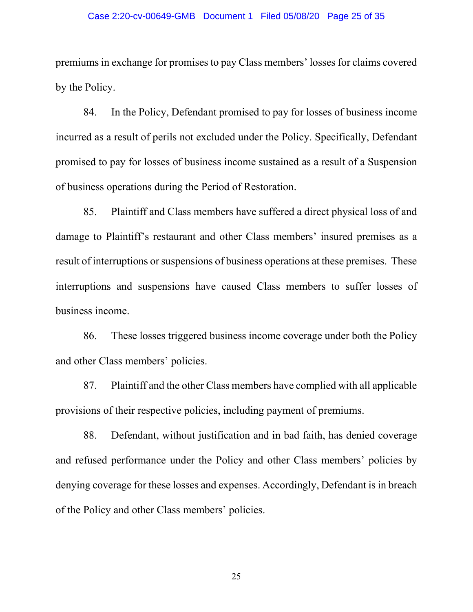#### Case 2:20-cv-00649-GMB Document 1 Filed 05/08/20 Page 25 of 35

premiums in exchange for promises to pay Class members' losses for claims covered by the Policy.

84. In the Policy, Defendant promised to pay for losses of business income incurred as a result of perils not excluded under the Policy. Specifically, Defendant promised to pay for losses of business income sustained as a result of a Suspension of business operations during the Period of Restoration.

85. Plaintiff and Class members have suffered a direct physical loss of and damage to Plaintiff's restaurant and other Class members' insured premises as a result of interruptions or suspensions of business operations at these premises. These interruptions and suspensions have caused Class members to suffer losses of business income.

86. These losses triggered business income coverage under both the Policy and other Class members' policies.

87. Plaintiff and the other Class members have complied with all applicable provisions of their respective policies, including payment of premiums.

88. Defendant, without justification and in bad faith, has denied coverage and refused performance under the Policy and other Class members' policies by denying coverage for these losses and expenses. Accordingly, Defendant is in breach of the Policy and other Class members' policies.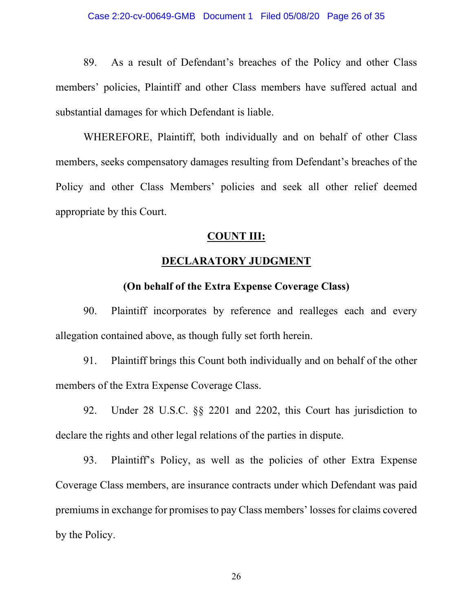89. As a result of Defendant's breaches of the Policy and other Class members' policies, Plaintiff and other Class members have suffered actual and substantial damages for which Defendant is liable.

WHEREFORE, Plaintiff, both individually and on behalf of other Class members, seeks compensatory damages resulting from Defendant's breaches of the Policy and other Class Members' policies and seek all other relief deemed appropriate by this Court.

### **COUNT III:**

# **DECLARATORY JUDGMENT**

## **(On behalf of the Extra Expense Coverage Class)**

90. Plaintiff incorporates by reference and realleges each and every allegation contained above, as though fully set forth herein.

91. Plaintiff brings this Count both individually and on behalf of the other members of the Extra Expense Coverage Class.

92. Under 28 U.S.C. §§ 2201 and 2202, this Court has jurisdiction to declare the rights and other legal relations of the parties in dispute.

93. Plaintiff's Policy, as well as the policies of other Extra Expense Coverage Class members, are insurance contracts under which Defendant was paid premiums in exchange for promises to pay Class members' losses for claims covered by the Policy.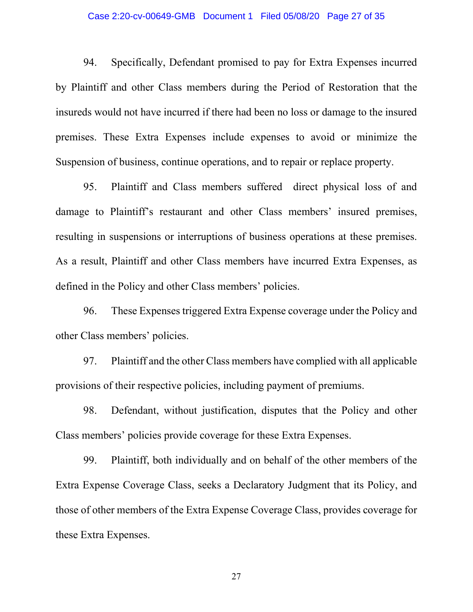#### Case 2:20-cv-00649-GMB Document 1 Filed 05/08/20 Page 27 of 35

94. Specifically, Defendant promised to pay for Extra Expenses incurred by Plaintiff and other Class members during the Period of Restoration that the insureds would not have incurred if there had been no loss or damage to the insured premises. These Extra Expenses include expenses to avoid or minimize the Suspension of business, continue operations, and to repair or replace property.

95. Plaintiff and Class members suffered direct physical loss of and damage to Plaintiff's restaurant and other Class members' insured premises, resulting in suspensions or interruptions of business operations at these premises. As a result, Plaintiff and other Class members have incurred Extra Expenses, as defined in the Policy and other Class members' policies.

96. These Expenses triggered Extra Expense coverage under the Policy and other Class members' policies.

97. Plaintiff and the other Class members have complied with all applicable provisions of their respective policies, including payment of premiums.

98. Defendant, without justification, disputes that the Policy and other Class members' policies provide coverage for these Extra Expenses.

99. Plaintiff, both individually and on behalf of the other members of the Extra Expense Coverage Class, seeks a Declaratory Judgment that its Policy, and those of other members of the Extra Expense Coverage Class, provides coverage for these Extra Expenses.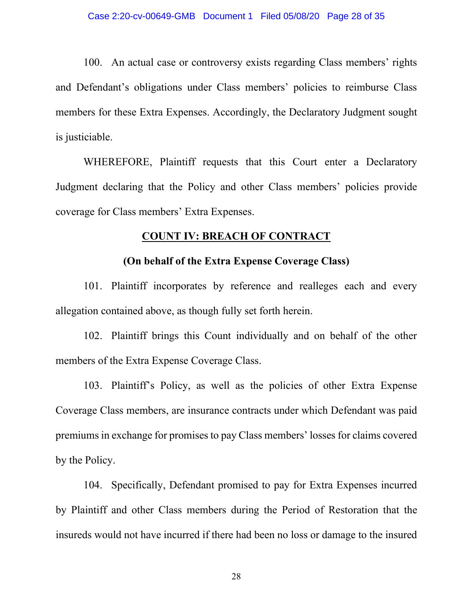100. An actual case or controversy exists regarding Class members' rights and Defendant's obligations under Class members' policies to reimburse Class members for these Extra Expenses. Accordingly, the Declaratory Judgment sought is justiciable.

WHEREFORE, Plaintiff requests that this Court enter a Declaratory Judgment declaring that the Policy and other Class members' policies provide coverage for Class members' Extra Expenses.

## **COUNT IV: BREACH OF CONTRACT**

## **(On behalf of the Extra Expense Coverage Class)**

101. Plaintiff incorporates by reference and realleges each and every allegation contained above, as though fully set forth herein.

102. Plaintiff brings this Count individually and on behalf of the other members of the Extra Expense Coverage Class.

103. Plaintiff's Policy, as well as the policies of other Extra Expense Coverage Class members, are insurance contracts under which Defendant was paid premiums in exchange for promises to pay Class members' losses for claims covered by the Policy.

104. Specifically, Defendant promised to pay for Extra Expenses incurred by Plaintiff and other Class members during the Period of Restoration that the insureds would not have incurred if there had been no loss or damage to the insured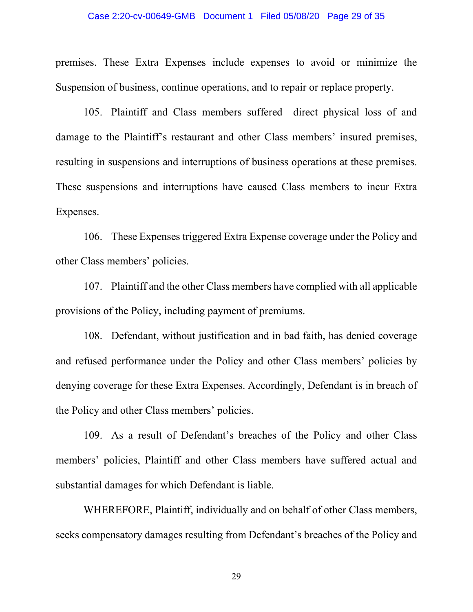### Case 2:20-cv-00649-GMB Document 1 Filed 05/08/20 Page 29 of 35

premises. These Extra Expenses include expenses to avoid or minimize the Suspension of business, continue operations, and to repair or replace property.

105. Plaintiff and Class members suffered direct physical loss of and damage to the Plaintiff's restaurant and other Class members' insured premises, resulting in suspensions and interruptions of business operations at these premises. These suspensions and interruptions have caused Class members to incur Extra Expenses.

106. These Expenses triggered Extra Expense coverage under the Policy and other Class members' policies.

107. Plaintiff and the other Class members have complied with all applicable provisions of the Policy, including payment of premiums.

108. Defendant, without justification and in bad faith, has denied coverage and refused performance under the Policy and other Class members' policies by denying coverage for these Extra Expenses. Accordingly, Defendant is in breach of the Policy and other Class members' policies.

109. As a result of Defendant's breaches of the Policy and other Class members' policies, Plaintiff and other Class members have suffered actual and substantial damages for which Defendant is liable.

WHEREFORE, Plaintiff, individually and on behalf of other Class members, seeks compensatory damages resulting from Defendant's breaches of the Policy and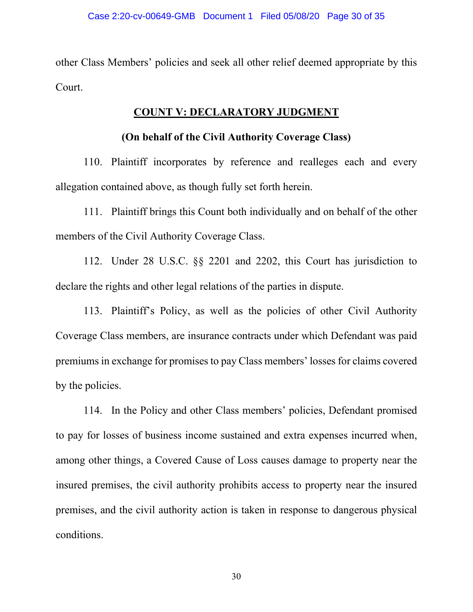other Class Members' policies and seek all other relief deemed appropriate by this Court.

# **COUNT V: DECLARATORY JUDGMENT**

# **(On behalf of the Civil Authority Coverage Class)**

110. Plaintiff incorporates by reference and realleges each and every allegation contained above, as though fully set forth herein.

111. Plaintiff brings this Count both individually and on behalf of the other members of the Civil Authority Coverage Class.

112. Under 28 U.S.C. §§ 2201 and 2202, this Court has jurisdiction to declare the rights and other legal relations of the parties in dispute.

113. Plaintiff's Policy, as well as the policies of other Civil Authority Coverage Class members, are insurance contracts under which Defendant was paid premiums in exchange for promises to pay Class members' losses for claims covered by the policies.

114. In the Policy and other Class members' policies, Defendant promised to pay for losses of business income sustained and extra expenses incurred when, among other things, a Covered Cause of Loss causes damage to property near the insured premises, the civil authority prohibits access to property near the insured premises, and the civil authority action is taken in response to dangerous physical conditions.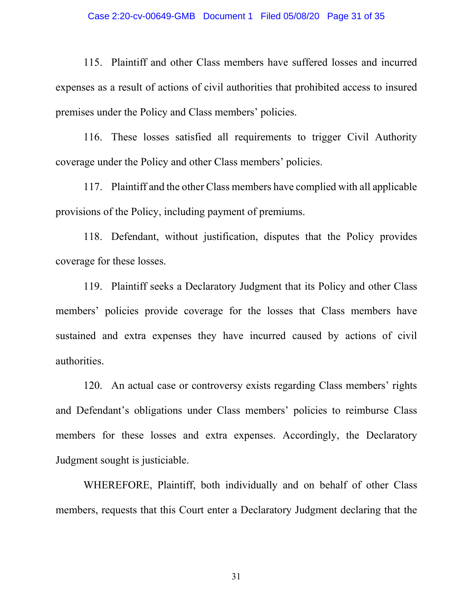### Case 2:20-cv-00649-GMB Document 1 Filed 05/08/20 Page 31 of 35

115. Plaintiff and other Class members have suffered losses and incurred expenses as a result of actions of civil authorities that prohibited access to insured premises under the Policy and Class members' policies.

116. These losses satisfied all requirements to trigger Civil Authority coverage under the Policy and other Class members' policies.

117. Plaintiff and the other Class members have complied with all applicable provisions of the Policy, including payment of premiums.

118. Defendant, without justification, disputes that the Policy provides coverage for these losses.

119. Plaintiff seeks a Declaratory Judgment that its Policy and other Class members' policies provide coverage for the losses that Class members have sustained and extra expenses they have incurred caused by actions of civil authorities.

120. An actual case or controversy exists regarding Class members' rights and Defendant's obligations under Class members' policies to reimburse Class members for these losses and extra expenses. Accordingly, the Declaratory Judgment sought is justiciable.

WHEREFORE, Plaintiff, both individually and on behalf of other Class members, requests that this Court enter a Declaratory Judgment declaring that the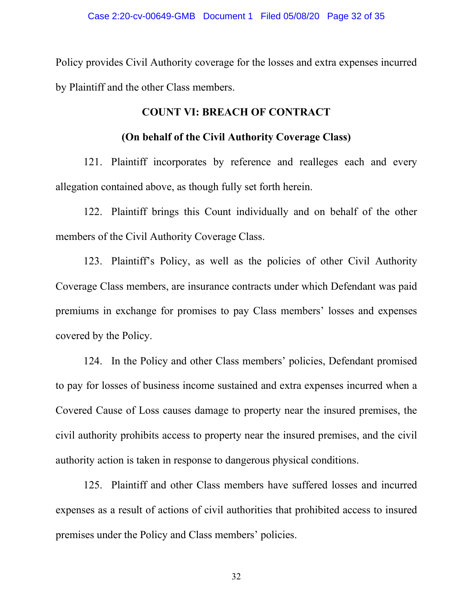Policy provides Civil Authority coverage for the losses and extra expenses incurred by Plaintiff and the other Class members.

# **COUNT VI: BREACH OF CONTRACT**

# **(On behalf of the Civil Authority Coverage Class)**

121. Plaintiff incorporates by reference and realleges each and every allegation contained above, as though fully set forth herein.

122. Plaintiff brings this Count individually and on behalf of the other members of the Civil Authority Coverage Class.

123. Plaintiff's Policy, as well as the policies of other Civil Authority Coverage Class members, are insurance contracts under which Defendant was paid premiums in exchange for promises to pay Class members' losses and expenses covered by the Policy.

124. In the Policy and other Class members' policies, Defendant promised to pay for losses of business income sustained and extra expenses incurred when a Covered Cause of Loss causes damage to property near the insured premises, the civil authority prohibits access to property near the insured premises, and the civil authority action is taken in response to dangerous physical conditions.

125. Plaintiff and other Class members have suffered losses and incurred expenses as a result of actions of civil authorities that prohibited access to insured premises under the Policy and Class members' policies.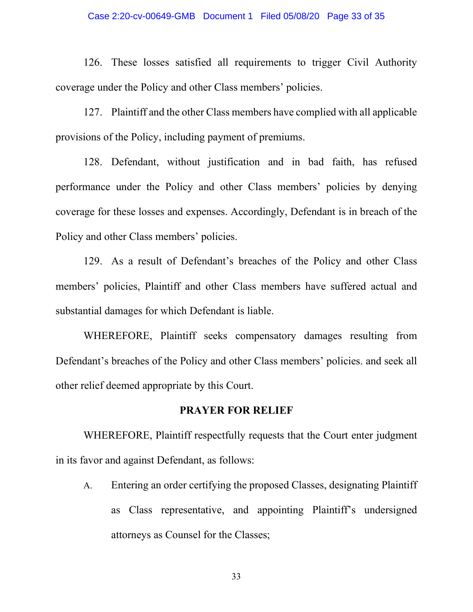### Case 2:20-cv-00649-GMB Document 1 Filed 05/08/20 Page 33 of 35

126. These losses satisfied all requirements to trigger Civil Authority coverage under the Policy and other Class members' policies.

127. Plaintiff and the other Class members have complied with all applicable provisions of the Policy, including payment of premiums.

128. Defendant, without justification and in bad faith, has refused performance under the Policy and other Class members' policies by denying coverage for these losses and expenses. Accordingly, Defendant is in breach of the Policy and other Class members' policies.

129. As a result of Defendant's breaches of the Policy and other Class members' policies, Plaintiff and other Class members have suffered actual and substantial damages for which Defendant is liable.

WHEREFORE, Plaintiff seeks compensatory damages resulting from Defendant's breaches of the Policy and other Class members' policies. and seek all other relief deemed appropriate by this Court.

### **PRAYER FOR RELIEF**

WHEREFORE, Plaintiff respectfully requests that the Court enter judgment in its favor and against Defendant, as follows:

A. Entering an order certifying the proposed Classes, designating Plaintiff as Class representative, and appointing Plaintiff's undersigned attorneys as Counsel for the Classes;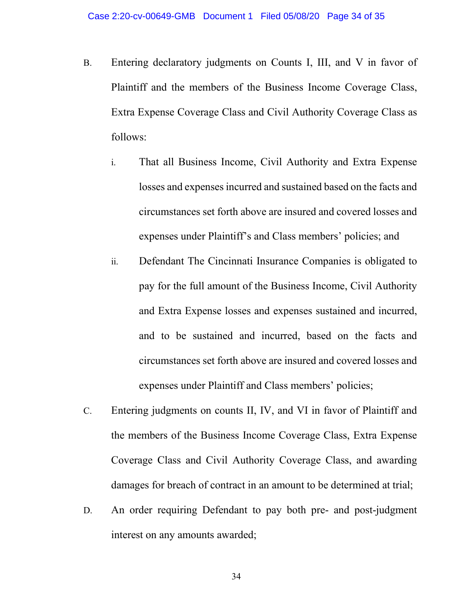- B. Entering declaratory judgments on Counts I, III, and V in favor of Plaintiff and the members of the Business Income Coverage Class, Extra Expense Coverage Class and Civil Authority Coverage Class as follows:
	- i. That all Business Income, Civil Authority and Extra Expense losses and expenses incurred and sustained based on the facts and circumstances set forth above are insured and covered losses and expenses under Plaintiff's and Class members' policies; and
	- ii. Defendant The Cincinnati Insurance Companies is obligated to pay for the full amount of the Business Income, Civil Authority and Extra Expense losses and expenses sustained and incurred, and to be sustained and incurred, based on the facts and circumstances set forth above are insured and covered losses and expenses under Plaintiff and Class members' policies;
- C. Entering judgments on counts II, IV, and VI in favor of Plaintiff and the members of the Business Income Coverage Class, Extra Expense Coverage Class and Civil Authority Coverage Class, and awarding damages for breach of contract in an amount to be determined at trial;
- D. An order requiring Defendant to pay both pre- and post-judgment interest on any amounts awarded;